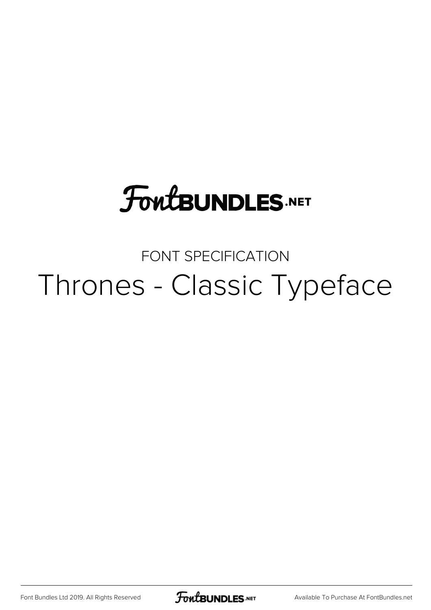# **FoutBUNDLES.NET**

### FONT SPECIFICATION Thrones - Classic Typeface

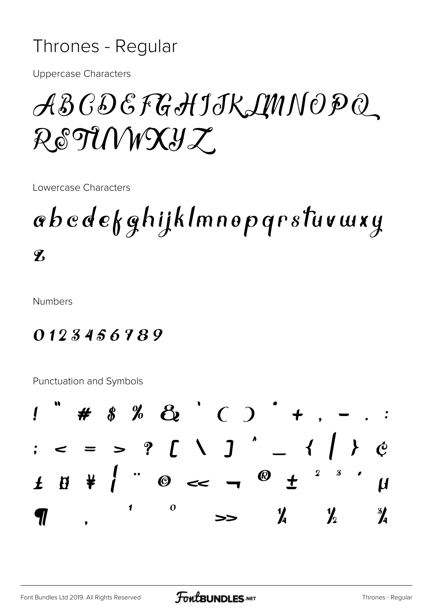#### Thrones - Regular

**Uppercase Characters** 

## ABCDEFGHIJKLMNOPQ RETUWXYZ

Lowercase Characters

### abcdefghijklmnopqrstuvwxy  $\mathbf{Z}$

**Numbers** 

#### 0123456789

Punctuation and Symbols

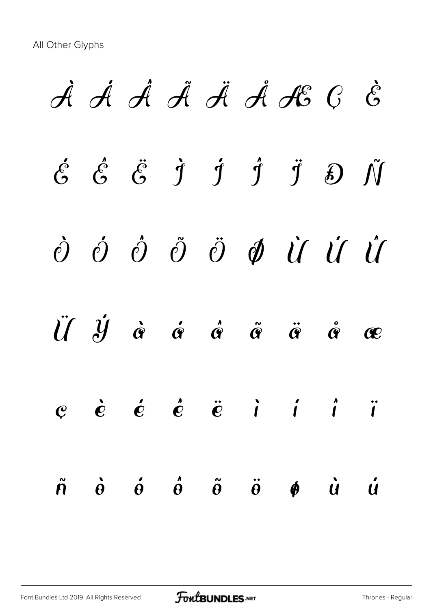À Á Â Ã Ä Å Æ Ç È  $\acute{\mathcal{E}}$   $\acute{\mathcal{E}}$   $\ddot{\mathcal{G}}$   $\dot{\mathcal{I}}$   $\acute{\mathcal{I}}$   $\ddot{\mathcal{J}}$   $\ddot{\mathcal{J}}$   $\ddot{\mathcal{D}}$   $\ddot{\mathcal{N}}$ Ò Ó Ô Õ Ö Ø Ù Ú Û Ü Ý à á â ã ä å æ  $e$  è é é ë i í í ï ñ ò ó ô õ ö ø ù ú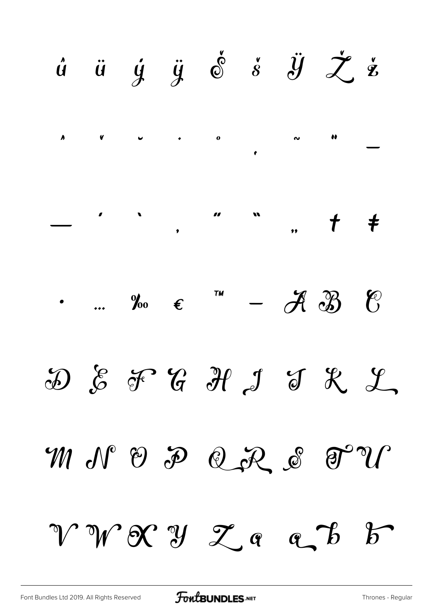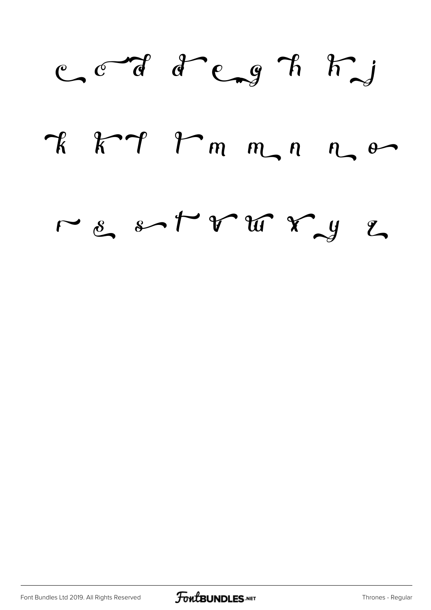

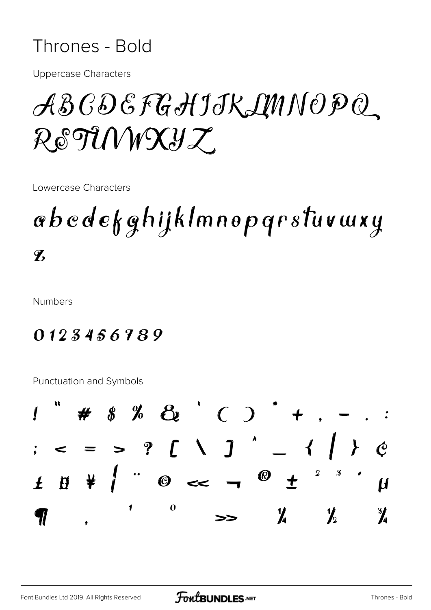#### Thrones - Bold

**Uppercase Characters** 

## ABCDEFGHIJKLMNOPQ RETUWXYZ

Lowercase Characters

### abcdefghijklmnopqrstuvwxy  $\mathbf{Z}$

**Numbers** 

#### 0123456789

Punctuation and Symbols

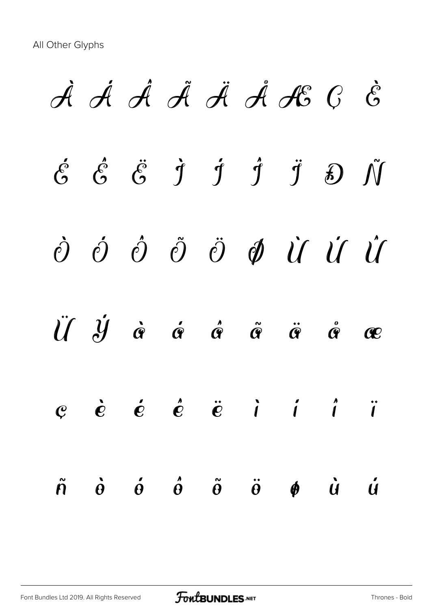À Á Â Ã Ä Å Æ Ç È  $\acute{\mathcal{E}}$   $\acute{\mathcal{E}}$   $\ddot{\mathcal{G}}$   $\dot{\mathcal{I}}$   $\acute{\mathcal{I}}$   $\ddot{\mathcal{J}}$   $\ddot{\mathcal{J}}$   $\ddot{\mathcal{D}}$   $\ddot{\mathcal{N}}$ Ò Ó Ô Õ Ö Ø Ù Ú Û Ü Ý à á â ã ä å æ  $e$  è é é ë i í í ï ñ ò ó ô õ ö ø ù ú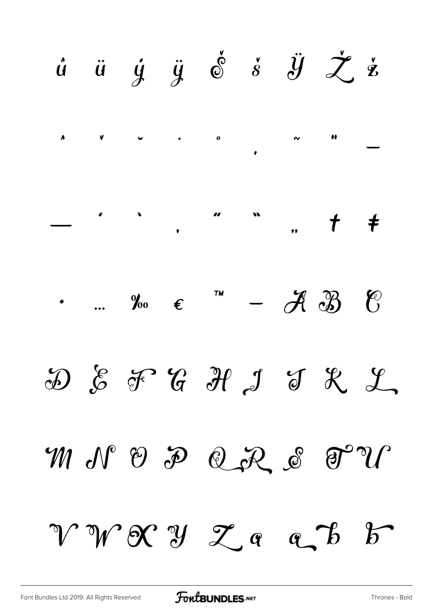